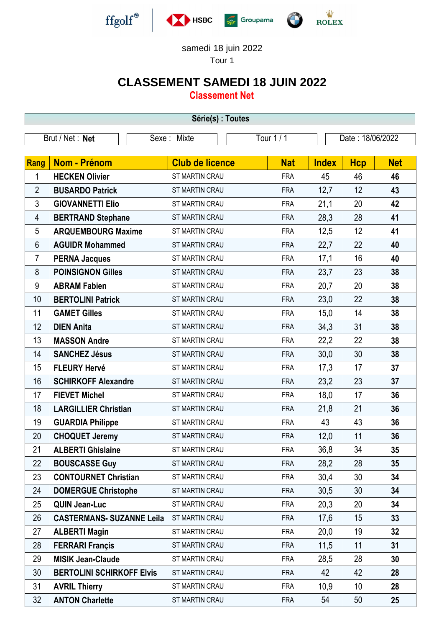

## samedi 18 juin 2022

Tour 1

## **CLASSEMENT SAMEDI 18 JUIN 2022**

**Classement Net**

| Série(s) : Toutes |                                  |                           |  |            |                  |            |            |  |  |  |
|-------------------|----------------------------------|---------------------------|--|------------|------------------|------------|------------|--|--|--|
| Brut / Net: Net   |                                  | Tour 1 / 1<br>Sexe: Mixte |  |            | Date: 18/06/2022 |            |            |  |  |  |
|                   |                                  |                           |  |            |                  |            |            |  |  |  |
| Rang              | <b>Nom - Prénom</b>              | <b>Club de licence</b>    |  | <b>Nat</b> | <b>Index</b>     | <b>Hcp</b> | <b>Net</b> |  |  |  |
| 1                 | <b>HECKEN Olivier</b>            | ST MARTIN CRAU            |  | <b>FRA</b> | 45               | 46         | 46         |  |  |  |
| $\overline{2}$    | <b>BUSARDO Patrick</b>           | ST MARTIN CRAU            |  | <b>FRA</b> | 12,7             | 12         | 43         |  |  |  |
| 3                 | <b>GIOVANNETTI Elio</b>          | ST MARTIN CRAU            |  | <b>FRA</b> | 21,1             | 20         | 42         |  |  |  |
| 4                 | <b>BERTRAND Stephane</b>         | <b>ST MARTIN CRAU</b>     |  | <b>FRA</b> | 28,3             | 28         | 41         |  |  |  |
| 5                 | <b>ARQUEMBOURG Maxime</b>        | ST MARTIN CRAU            |  | <b>FRA</b> | 12,5             | 12         | 41         |  |  |  |
| 6                 | <b>AGUIDR Mohammed</b>           | ST MARTIN CRAU            |  | <b>FRA</b> | 22,7             | 22         | 40         |  |  |  |
| 7                 | <b>PERNA Jacques</b>             | ST MARTIN CRAU            |  | <b>FRA</b> | 17,1             | 16         | 40         |  |  |  |
| 8                 | <b>POINSIGNON Gilles</b>         | ST MARTIN CRAU            |  | <b>FRA</b> | 23,7             | 23         | 38         |  |  |  |
| 9                 | <b>ABRAM Fabien</b>              | ST MARTIN CRAU            |  | <b>FRA</b> | 20,7             | 20         | 38         |  |  |  |
| 10                | <b>BERTOLINI Patrick</b>         | <b>ST MARTIN CRAU</b>     |  | <b>FRA</b> | 23,0             | 22         | 38         |  |  |  |
| 11                | <b>GAMET Gilles</b>              | ST MARTIN CRAU            |  | <b>FRA</b> | 15,0             | 14         | 38         |  |  |  |
| 12                | <b>DIEN Anita</b>                | ST MARTIN CRAU            |  | <b>FRA</b> | 34,3             | 31         | 38         |  |  |  |
| 13                | <b>MASSON Andre</b>              | ST MARTIN CRAU            |  | <b>FRA</b> | 22,2             | 22         | 38         |  |  |  |
| 14                | <b>SANCHEZ Jésus</b>             | ST MARTIN CRAU            |  | <b>FRA</b> | 30,0             | 30         | 38         |  |  |  |
| 15                | <b>FLEURY Hervé</b>              | ST MARTIN CRAU            |  | <b>FRA</b> | 17,3             | 17         | 37         |  |  |  |
| 16                | <b>SCHIRKOFF Alexandre</b>       | ST MARTIN CRAU            |  | <b>FRA</b> | 23,2             | 23         | 37         |  |  |  |
| 17                | <b>FIEVET Michel</b>             | ST MARTIN CRAU            |  | <b>FRA</b> | 18,0             | 17         | 36         |  |  |  |
| 18                | <b>LARGILLIER Christian</b>      | ST MARTIN CRAU            |  | <b>FRA</b> | 21,8             | 21         | 36         |  |  |  |
| 19                | <b>GUARDIA Philippe</b>          | ST MARTIN CRAU            |  | <b>FRA</b> | 43               | 43         | 36         |  |  |  |
| 20                | <b>CHOQUET Jeremy</b>            | ST MARTIN CRAU            |  | <b>FRA</b> | 12,0             | 11         | 36         |  |  |  |
| 21                | <b>ALBERTI Ghislaine</b>         | ST MARTIN CRAU            |  | FRA        | 36,8             | 34         | 35         |  |  |  |
| 22                | <b>BOUSCASSE Guy</b>             | ST MARTIN CRAU            |  | <b>FRA</b> | 28,2             | 28         | 35         |  |  |  |
| 23                | <b>CONTOURNET Christian</b>      | <b>ST MARTIN CRAU</b>     |  | <b>FRA</b> | 30,4             | 30         | 34         |  |  |  |
| 24                | <b>DOMERGUE Christophe</b>       | ST MARTIN CRAU            |  | <b>FRA</b> | 30,5             | 30         | 34         |  |  |  |
| 25                | <b>QUIN Jean-Luc</b>             | ST MARTIN CRAU            |  | <b>FRA</b> | 20,3             | 20         | 34         |  |  |  |
| 26                | <b>CASTERMANS- SUZANNE Leila</b> | <b>ST MARTIN CRAU</b>     |  | <b>FRA</b> | 17,6             | 15         | 33         |  |  |  |
| 27                | <b>ALBERTI Magin</b>             | ST MARTIN CRAU            |  | <b>FRA</b> | 20,0             | 19         | 32         |  |  |  |
| 28                | <b>FERRARI Françis</b>           | ST MARTIN CRAU            |  | <b>FRA</b> | 11,5             | 11         | 31         |  |  |  |
| 29                | <b>MISIK Jean-Claude</b>         | ST MARTIN CRAU            |  | <b>FRA</b> | 28,5             | 28         | 30         |  |  |  |
| 30                | <b>BERTOLINI SCHIRKOFF Elvis</b> | ST MARTIN CRAU            |  | <b>FRA</b> | 42               | 42         | 28         |  |  |  |
| 31                | <b>AVRIL Thierry</b>             | ST MARTIN CRAU            |  | <b>FRA</b> | 10,9             | 10         | 28         |  |  |  |
| 32                | <b>ANTON Charlette</b>           | ST MARTIN CRAU            |  | <b>FRA</b> | 54               | 50         | 25         |  |  |  |